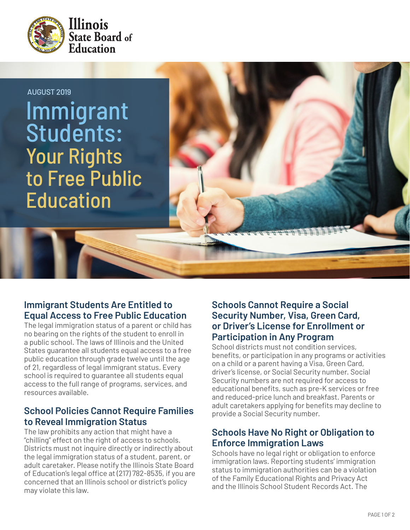



# **Immigrant Students Are Entitled to Equal Access to Free Public Education**

The legal immigration status of a parent or child has no bearing on the rights of the student to enroll in a public school. The laws of Illinois and the United States guarantee all students equal access to a free public education through grade twelve until the age of 21, regardless of legal immigrant status. Every school is required to guarantee all students equal access to the full range of programs, services, and resources available.

## **School Policies Cannot Require Families to Reveal Immigration Status**

The law prohibits any action that might have a "chilling" effect on the right of access to schools. Districts must not inquire directly or indirectly about the legal immigration status of a student, parent, or adult caretaker. Please notify the Illinois State Board of Education's legal office at (217) 782-8535, if you are concerned that an Illinois school or district's policy may violate this law.

## **Schools Cannot Require a Social Security Number, Visa, Green Card, or Driver's License for Enrollment or Participation in Any Program**

School districts must not condition services, benefits, or participation in any programs or activities on a child or a parent having a Visa, Green Card, driver's license, or Social Security number. Social Security numbers are not required for access to educational benefits, such as pre-K services or free and reduced-price lunch and breakfast. Parents or adult caretakers applying for benefits may decline to provide a Social Security number.

# **Schools Have No Right or Obligation to Enforce Immigration Laws**

Schools have no legal right or obligation to enforce immigration laws. Reporting students' immigration status to immigration authorities can be a violation of the Family Educational Rights and Privacy Act and the Illinois School Student Records Act. The